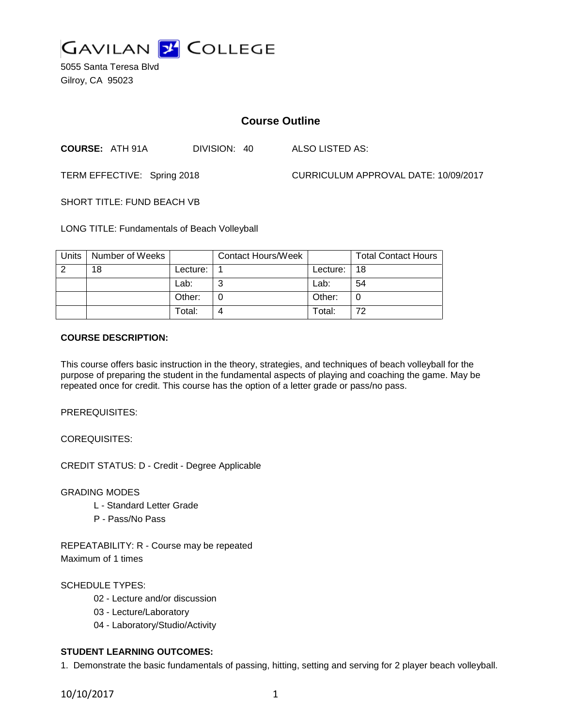

5055 Santa Teresa Blvd Gilroy, CA 95023

# **Course Outline**

**COURSE:** ATH 91A DIVISION: 40 ALSO LISTED AS:

TERM EFFECTIVE: Spring 2018 CURRICULUM APPROVAL DATE: 10/09/2017

SHORT TITLE: FUND BEACH VB

LONG TITLE: Fundamentals of Beach Volleyball

| <b>Units</b> | Number of Weeks |          | <b>Contact Hours/Week</b> |          | <b>Total Contact Hours</b> |
|--------------|-----------------|----------|---------------------------|----------|----------------------------|
| - 2          | 18              | Lecture: |                           | Lecture: | 18                         |
|              |                 | Lab:     | ⌒                         | Lab:     | 54                         |
|              |                 | Other:   |                           | Other:   |                            |
|              |                 | Total:   |                           | Total:   | 72                         |

#### **COURSE DESCRIPTION:**

This course offers basic instruction in the theory, strategies, and techniques of beach volleyball for the purpose of preparing the student in the fundamental aspects of playing and coaching the game. May be repeated once for credit. This course has the option of a letter grade or pass/no pass.

PREREQUISITES:

COREQUISITES:

CREDIT STATUS: D - Credit - Degree Applicable

GRADING MODES

- L Standard Letter Grade
- P Pass/No Pass

REPEATABILITY: R - Course may be repeated Maximum of 1 times

### SCHEDULE TYPES:

- 02 Lecture and/or discussion
- 03 Lecture/Laboratory
- 04 Laboratory/Studio/Activity

### **STUDENT LEARNING OUTCOMES:**

1. Demonstrate the basic fundamentals of passing, hitting, setting and serving for 2 player beach volleyball.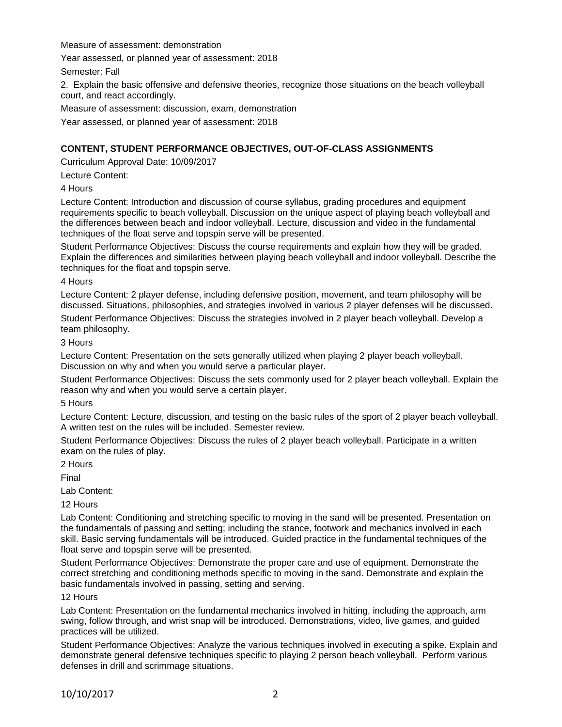Measure of assessment: demonstration

Year assessed, or planned year of assessment: 2018

Semester: Fall

2. Explain the basic offensive and defensive theories, recognize those situations on the beach volleyball court, and react accordingly.

Measure of assessment: discussion, exam, demonstration

Year assessed, or planned year of assessment: 2018

### **CONTENT, STUDENT PERFORMANCE OBJECTIVES, OUT-OF-CLASS ASSIGNMENTS**

Curriculum Approval Date: 10/09/2017

Lecture Content:

4 Hours

Lecture Content: Introduction and discussion of course syllabus, grading procedures and equipment requirements specific to beach volleyball. Discussion on the unique aspect of playing beach volleyball and the differences between beach and indoor volleyball. Lecture, discussion and video in the fundamental techniques of the float serve and topspin serve will be presented.

Student Performance Objectives: Discuss the course requirements and explain how they will be graded. Explain the differences and similarities between playing beach volleyball and indoor volleyball. Describe the techniques for the float and topspin serve.

4 Hours

Lecture Content: 2 player defense, including defensive position, movement, and team philosophy will be discussed. Situations, philosophies, and strategies involved in various 2 player defenses will be discussed. Student Performance Objectives: Discuss the strategies involved in 2 player beach volleyball. Develop a team philosophy.

3 Hours

Lecture Content: Presentation on the sets generally utilized when playing 2 player beach volleyball. Discussion on why and when you would serve a particular player.

Student Performance Objectives: Discuss the sets commonly used for 2 player beach volleyball. Explain the reason why and when you would serve a certain player.

5 Hours

Lecture Content: Lecture, discussion, and testing on the basic rules of the sport of 2 player beach volleyball. A written test on the rules will be included. Semester review.

Student Performance Objectives: Discuss the rules of 2 player beach volleyball. Participate in a written exam on the rules of play.

2 Hours

Final

Lab Content:

12 Hours

Lab Content: Conditioning and stretching specific to moving in the sand will be presented. Presentation on the fundamentals of passing and setting; including the stance, footwork and mechanics involved in each skill. Basic serving fundamentals will be introduced. Guided practice in the fundamental techniques of the float serve and topspin serve will be presented.

Student Performance Objectives: Demonstrate the proper care and use of equipment. Demonstrate the correct stretching and conditioning methods specific to moving in the sand. Demonstrate and explain the basic fundamentals involved in passing, setting and serving.

12 Hours

Lab Content: Presentation on the fundamental mechanics involved in hitting, including the approach, arm swing, follow through, and wrist snap will be introduced. Demonstrations, video, live games, and guided practices will be utilized.

Student Performance Objectives: Analyze the various techniques involved in executing a spike. Explain and demonstrate general defensive techniques specific to playing 2 person beach volleyball. Perform various defenses in drill and scrimmage situations.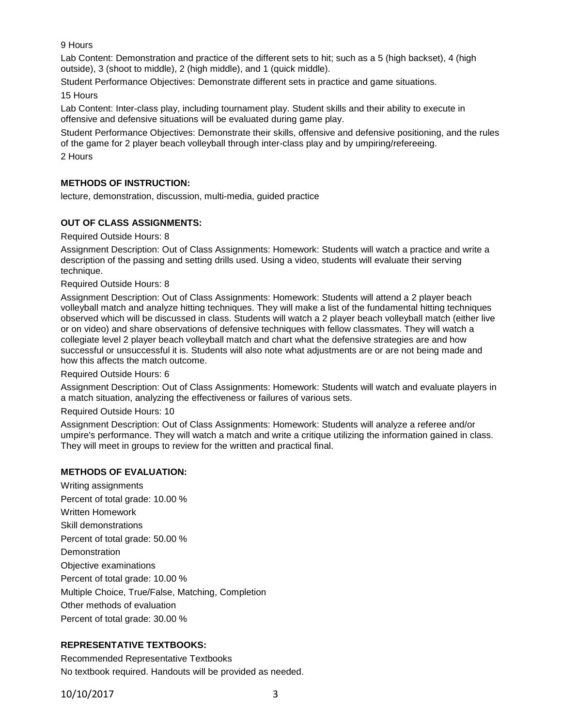9 Hours

Lab Content: Demonstration and practice of the different sets to hit; such as a 5 (high backset), 4 (high outside), 3 (shoot to middle), 2 (high middle), and 1 (quick middle).

Student Performance Objectives: Demonstrate different sets in practice and game situations.

15 Hours

Lab Content: Inter-class play, including tournament play. Student skills and their ability to execute in offensive and defensive situations will be evaluated during game play.

Student Performance Objectives: Demonstrate their skills, offensive and defensive positioning, and the rules of the game for 2 player beach volleyball through inter-class play and by umpiring/refereeing.

2 Hours

## **METHODS OF INSTRUCTION:**

lecture, demonstration, discussion, multi-media, guided practice

## **OUT OF CLASS ASSIGNMENTS:**

Required Outside Hours: 8

Assignment Description: Out of Class Assignments: Homework: Students will watch a practice and write a description of the passing and setting drills used. Using a video, students will evaluate their serving technique.

Required Outside Hours: 8

Assignment Description: Out of Class Assignments: Homework: Students will attend a 2 player beach volleyball match and analyze hitting techniques. They will make a list of the fundamental hitting techniques observed which will be discussed in class. Students will watch a 2 player beach volleyball match (either live or on video) and share observations of defensive techniques with fellow classmates. They will watch a collegiate level 2 player beach volleyball match and chart what the defensive strategies are and how successful or unsuccessful it is. Students will also note what adjustments are or are not being made and how this affects the match outcome.

Required Outside Hours: 6

Assignment Description: Out of Class Assignments: Homework: Students will watch and evaluate players in a match situation, analyzing the effectiveness or failures of various sets.

Required Outside Hours: 10

Assignment Description: Out of Class Assignments: Homework: Students will analyze a referee and/or umpire's performance. They will watch a match and write a critique utilizing the information gained in class. They will meet in groups to review for the written and practical final.

### **METHODS OF EVALUATION:**

Writing assignments Percent of total grade: 10.00 % Written Homework Skill demonstrations Percent of total grade: 50.00 % **Demonstration** Objective examinations Percent of total grade: 10.00 % Multiple Choice, True/False, Matching, Completion Other methods of evaluation Percent of total grade: 30.00 %

### **REPRESENTATIVE TEXTBOOKS:**

Recommended Representative Textbooks No textbook required. Handouts will be provided as needed.

10/10/2017 3